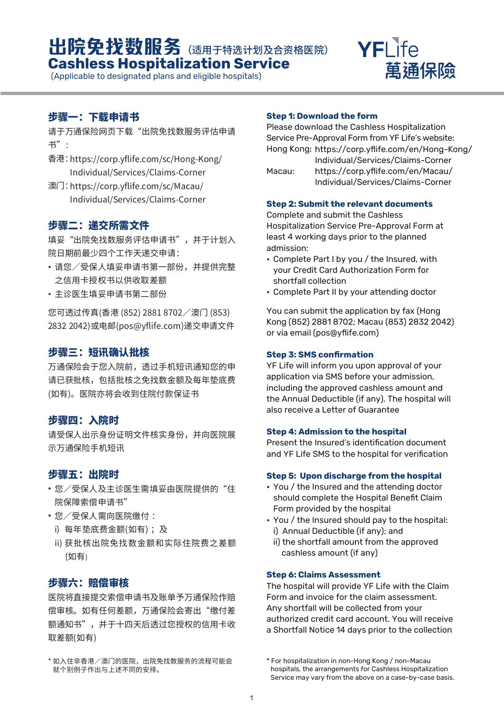**出院免找数服务**(适用于特选计划及合资格医院) **Cashless Hospitalization Service**

(Applicable to designated plans and eligible hospitals)



# 步骤一:下载申请书

请于万通保险网页下载"出院免找数服务评估申请 书":

- 香港: [https://corp.yflife.com/sc/Hong-Kong/](https://corp.yflife.com/sc/Hong-Kong/Individual/Services/Claims-Corner) Individual/Services/Claims-Corner
- 澳门: [https://corp.yflife.com/sc/Macau/](https://corp.yflife.com/sc/Macau/Individual/Services/Claims-Corner) Individual/Services/Claims-Corner

### 步骤二:递交所需文件

填妥"出院免找数服务评估申请书",并于计划入 院日期前最少四个工作天递交申请:

- 请您/受保人填妥申请书第一部份,开提供完整 之信用卡授权书以供收取差额
- 王诊医王填妥甲请书第二部份

您可透过传真(香港 (852) 2881 8702/澳门 (853) 2832 2042)或电邮(pos@yflife.com)递交申请文件

# 步骤三: 短讯确认批核

万通保险会于您入院前,透过手机短讯通知您的申 请已获批核,包括批核之免找数金额及每年垫底费 (如有)。医院亦将会收到住院付款保证书

### 步骤四:入院时

请受保人出示身份证明文件核实身份,并向医院展 示万通保险手机短讯

### 步骤五:出院时

- 您/受保人及主诊医生需填妥由医院提供的"住 院保障索偿申请书"
- 您/受保人需向医院缴付 :
	- i) 每年垫底费金额(如有); 及
	- ii) 获批核出院免找数金额和实际住院费之差额 (如有)

# 步骤六:赔偿审核

医院将直接提交索偿申请书及账单予万通保险作赔 偿审核。如有任何差额,万通保险会寄出"缴付差 额通知书",并于十四天后透过您授权的信用卡收 取差额(如有)

#### **Step 1: Download the form**

Please download the Cashless Hospitalization Service Pre-Approval Form from YF Life's website: Hong Kong: [https://corp.yflife.com/en/Hong-Kong/](https://corp.yflife.com/en/Hong-Kong/Individual/Services/Claims-Corner) Macau: Individual/Services/Claims-Corner [https://corp.yflife.com/en/Macau/](https://corp.yflife.com/en/Macau/Individual/Services/Claims-Corner) Individual/Services/Claims-Corner

#### **Step 2: Submit the relevant documents**

Complete and submit the Cashless Hospitalization Service Pre-Approval Form at least 4 working days prior to the planned admission:

- Complete Part I by you / the Insured, with your Credit Card Authorization Form for shortfall collection
- Complete Part II by your attending doctor ▪

You can submit the application by fax (Hong Kong (852) 2881 8702; Macau (853) 2832 2042) or via email (pos@yflife.com)

#### **Step 3: SMS confirmation**

YF Life will inform you upon approval of your application via SMS before your admission, including the approved cashless amount and the Annual Deductible (if any). The hospital will also receive a Letter of Guarantee

#### **Step 4: Admission to the hospital**

Present the Insured's identification document and YF Life SMS to the hospital for verification

#### **Step 5: Upon discharge from the hospital**

- You / the Insured and the attending doctor should complete the Hospital Benefit Claim Form provided by the hospital
- You / the Insured should pay to the hospital: i) Annual Deductible (if any); and
	- ii) the shortfall amount from the approved cashless amount (if any)

#### **Step 6: Claims Assessment**

The hospital will provide YF Life with the Claim Form and invoice for the claim assessment. Any shortfall will be collected from your authorized credit card account. You will receive a Shortfall Notice 14 days prior to the collection

<sup>\*</sup> 如入住非香港/澳门的医院,出院免找数服务的流程可能会 就个别例子作出与上述不同的安排。

<sup>\*</sup> For hospitalization in non-Hong Kong / non-Macau hospitals, the arrangements for Cashless Hospitalization Service may vary from the above on a case-by-case basis.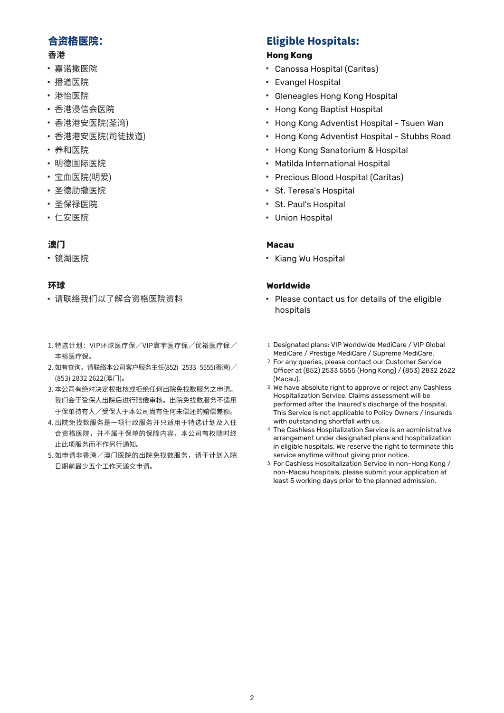# 合资格医院:

### **香港**

- 嘉诺撒医院
- 播迫医院
- 港怡医院
- 杳港浸信会医院
- 杳港港安医院(全湾)
- 杳港港安医院(司徒抜道)
- 乔和医院
- 明德国际医院
- 宝皿医院(明发)
- 全德肋撒医院
- 全保禄医院
- 仁安医院

# 澳门

▪ 镜湖医院

### 环球

- 请联络我们以了解合资格医院资料
- 1. 特选计划:VIP环球医疗保/VIP寰宇医疗保/优裕医疗保/ 丰裕医疗保。
- 2. 如有查询,请联络本公司客户服务主任(852) 2533 5555(香港)/ (853) 2832 2622(澳门)。
- 3. 本公司有绝对决定权批核或拒绝任何出院免找数服务之申请。 我们会于受保人出院后进行赔偿审核。出院免找数服务不适用 于保单持有人/受保人于本公司尚有任何未偿还的赔偿差额。
- 4. 出院免找数服务是一项行政服务并只适用于特选计划及入住 合资格医院,并不属于保单的保障内容,本公司有权随时终 止此项服务而不作另行通知。
- 5. 如申请非香港/澳门医院的出院免找数服务,请于计划入院 日期前最少五个工作天递交申请。

# Eligible Hospitals:

### **Hong Kong**

- Canossa Hospital (Caritas) ▪
- Evangel Hospital ▪
- Gleneagles Hong Kong Hospital ▪
- Hong Kong Baptist Hospital
- Hong Kong Adventist Hospital Tsuen Wan
- Hong Kong Adventist Hospital Stubbs Road ▪
- Hong Kong Sanatorium & Hospital
- Matilda International Hospital ▪
- Precious Blood Hospital (Caritas) ▪
- St. Teresa's Hospital ▪
- St. Paul's Hospital ▪
- Union Hospital ▪

### **Macau**

• Kiang Wu Hospital

#### **Worldwide**

- Please contact us for details of the eligible hospitals
- 1. Designated plans: VIP Worldwide MediCare / VIP Global MediCare / Prestige MediCare / Supreme MediCare.
- 2. For any queries, please contact our Customer Service Officer at (852) 2533 5555 (Hong Kong) / (853) 2832 2622 (Macau).
- 3. We have absolute right to approve or reject any Cashless Hospitalization Service. Claims assessment will be performed after the Insured's discharge of the hospital. This Service is not applicable to Policy Owners / Insureds with outstanding shortfall with us.
- 4. The Cashless Hospitalization Service is an administrative arrangement under designated plans and hospitalization in eligible hospitals. We reserve the right to terminate this service anytime without giving prior notice.
- 5. For Cashless Hospitalization Service in non-Hong Kong / non-Macau hospitals, please submit your application at least 5 working days prior to the planned admission.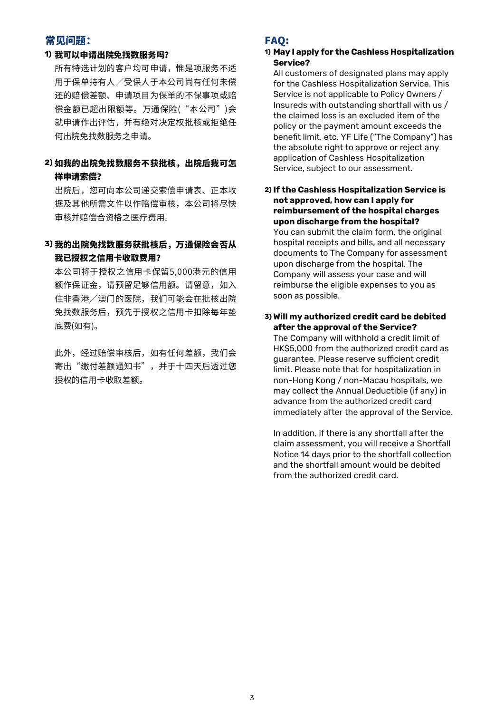### 常见问题:

# 我可以申请出院免找数服务吗? **1)**

所有特选计划的客户均可申请,惟是项服务不适 用于保单持有人/受保人于本公司尚有任何未偿 还的赔偿差额、申请项目为保单的不保事项或赔 偿金额已超出限额等。万通保险("本公司")会 就申请作出评估,并有绝对决定权批核或拒绝任 何出院免找数服务之申请。

### 如我的出院免找数服务不获批核,出院后我可怎 **2)** 样申请索偿?

出院后,您可向本公司递交索偿申请表、正本收 据及其他所需文件以作赔偿审核,本公司将尽快 审核并赔偿合资格之医疗费用。

# 我的出院免找数服务获批核后,万通保险会否从 **3)**我已授权之信用卡收取费用?

本公司将于授权之信用卡保留5,000港元的信用 额作保证金,请预留足够信用额。请留意,如入 住非香港/澳门的医院,我们可能会在批核出院 免找数服务后,预先于授权之信用卡扣除每年垫 底费(如有)。

此外,经过赔偿审核后,如有任何差额,我们会 寄出"缴付差额通知书",并于十四天后透过您 授权的信用卡收取差额。

### FAQ:

#### **May I apply for the Cashless Hospitalization 1) Service?**

All customers of designated plans may apply for the Cashless Hospitalization Service. This Service is not applicable to Policy Owners / Insureds with outstanding shortfall with us / the claimed loss is an excluded item of the policy or the payment amount exceeds the benefit limit, etc. YF Life ("The Company") has the absolute right to approve or reject any application of Cashless Hospitalization Service, subject to our assessment.

#### **If the Cashless Hospitalization Service is 2) not approved, how can I apply for reimbursement of the hospital charges upon discharge from the hospital?**  You can submit the claim form, the original hospital receipts and bills, and all necessary documents to The Company for assessment upon discharge from the hospital. The Company will assess your case and will reimburse the eligible expenses to you as

soon as possible.

#### **Will my authorized credit card be debited 3) after the approval of the Service?**

The Company will withhold a credit limit of HK\$5,000 from the authorized credit card as guarantee. Please reserve sufficient credit limit. Please note that for hospitalization in non-Hong Kong / non-Macau hospitals, we may collect the Annual Deductible (if any) in advance from the authorized credit card immediately after the approval of the Service.

In addition, if there is any shortfall after the claim assessment, you will receive a Shortfall Notice 14 days prior to the shortfall collection and the shortfall amount would be debited from the authorized credit card.